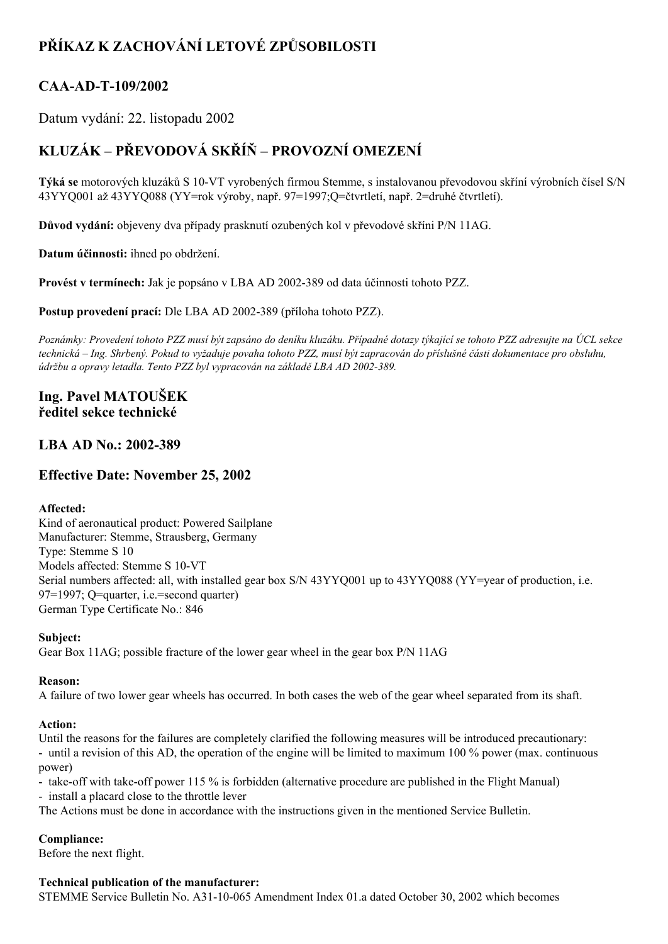# **PŘÍKAZ K ZACHOVÁNÍ LETOVÉ ZPŮSOBILOSTI**

## **CAAADT109/2002**

Datum vydání: 22. listopadu 2002

# **KLUZÁK – PŘEVODOVÁ SKŘÍŇ – PROVOZNÍ OMEZENÍ**

**Týká se** motorových kluzáků S 10-VT vyrobených firmou Stemme, s instalovanou převodovou skříní výrobních čísel S/N 43YYQ001 až 43YYQ088 (YY=rok výroby, např. 97=1997;Q=čtvrtletí, např. 2=druhé čtvrtletí).

**Důvod vydání:** objeveny dva případy prasknutí ozubených kol v převodové skříni P/N 11AG.

**Datum účinnosti:** ihned po obdržení.

**Provést v termínech:** Jak je popsáno v LBA AD 2002389 od data účinnosti tohoto PZZ.

**Postup provedení prací:** Dle LBA AD 2002389 (příloha tohoto PZZ).

Poznámky: Provedení tohoto PZZ musí být zapsáno do deníku kluzáku. Případné dotazy týkající se tohoto PZZ adresujte na ÚCL sekce technická – Ing. Shrbený. Pokud to vyžaduje povaha tohoto PZZ, musí být zapracován do příslušné části dokumentace pro obsluhu, *údržbu a opravy letadla. Tento PZZ byl vypracován na základě LBA AD 2002389.*

### **Ing. Pavel MATOUŠEK ředitel sekce technické**

### **LBA AD No.: 2002389**

## **Effective Date: November 25, 2002**

#### **Affected:**

Kind of aeronautical product: Powered Sailplane Manufacturer: Stemme, Strausberg, Germany Type: Stemme S 10 Models affected: Stemme S 10-VT Serial numbers affected: all, with installed gear box S/N 43YYQ001 up to 43YYQ088 (YY=year of production, i.e. 97=1997; Q=quarter, i.e.=second quarter) German Type Certificate No.: 846

#### **Subject:**

Gear Box 11AG; possible fracture of the lower gear wheel in the gear box P/N 11AG

#### **Reason:**

A failure of two lower gear wheels has occurred. In both cases the web of the gear wheel separated from its shaft.

#### **Action:**

Until the reasons for the failures are completely clarified the following measures will be introduced precautionary: until a revision of this AD, the operation of the engine will be limited to maximum 100 % power (max. continuous power)

- take-off with take-off power 115 % is forbidden (alternative procedure are published in the Flight Manual)

install a placard close to the throttle lever

The Actions must be done in accordance with the instructions given in the mentioned Service Bulletin.

#### **Compliance:**

Before the next flight.

#### **Technical publication of the manufacturer:**

STEMME Service Bulletin No. A31-10-065 Amendment Index 01.a dated October 30, 2002 which becomes